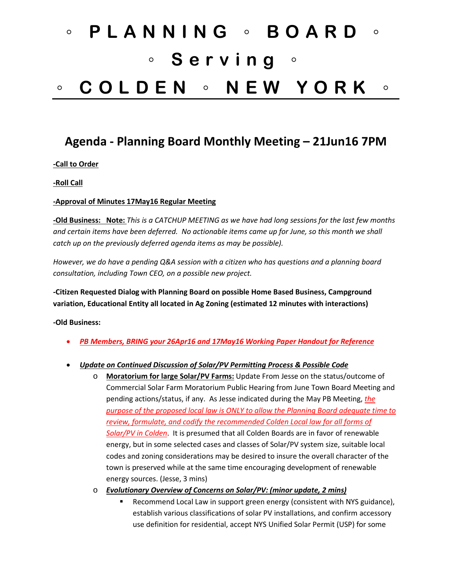# ◦ **PLANNING** ◦ **BOARD** ◦ ◦ **Serving** ◦ ◦ **COLDEN** ◦ **NEW YORK** ◦

# **Agenda - Planning Board Monthly Meeting – 21Jun16 7PM**

#### **-Call to Order**

**-Roll Call**

#### **-Approval of Minutes 17May16 Regular Meeting**

**-Old Business: Note:** *This is a CATCHUP MEETING as we have had long sessions for the last few months and certain items have been deferred. No actionable items came up for June, so this month we shall catch up on the previously deferred agenda items as may be possible).* 

*However, we do have a pending Q&A session with a citizen who has questions and a planning board consultation, including Town CEO, on a possible new project.*

**-Citizen Requested Dialog with Planning Board on possible Home Based Business, Campground variation, Educational Entity all located in Ag Zoning (estimated 12 minutes with interactions)**

**-Old Business:**

- *PB Members, BRING your 26Apr16 and 17May16 Working Paper Handout for Reference*
- *Update on Continued Discussion of Solar/PV Permitting Process & Possible Code*
	- o **Moratorium for large Solar/PV Farms:** Update From Jesse on the status/outcome of Commercial Solar Farm Moratorium Public Hearing from June Town Board Meeting and pending actions/status, if any. As Jesse indicated during the May PB Meeting, *the purpose of the proposed local law is ONLY to allow the Planning Board adequate time to review, formulate, and codify the recommended Colden Local law for all forms of Solar/PV in Colden*. It is presumed that all Colden Boards are in favor of renewable energy, but in some selected cases and classes of Solar/PV system size, suitable local codes and zoning considerations may be desired to insure the overall character of the town is preserved while at the same time encouraging development of renewable energy sources. (Jesse, 3 mins)
	- o *Evolutionary Overview of Concerns on Solar/PV: (minor update, 2 mins)*
		- Recommend Local Law in support green energy (consistent with NYS guidance), establish various classifications of solar PV installations, and confirm accessory use definition for residential, accept NYS Unified Solar Permit (USP) for some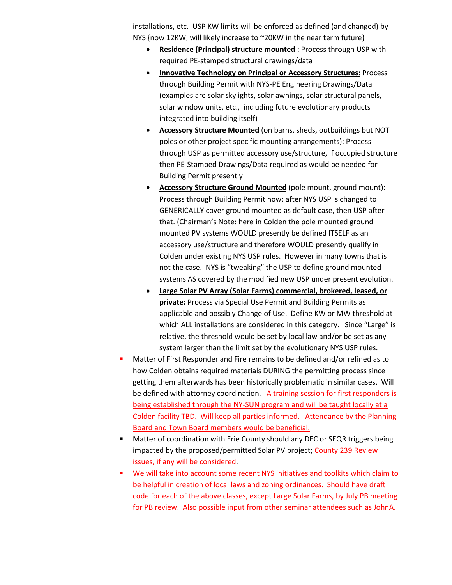installations, etc. USP KW limits will be enforced as defined (and changed) by NYS {now 12KW, will likely increase to ~20KW in the near term future}

- **Residence (Principal) structure mounted** : Process through USP with required PE-stamped structural drawings/data
- **Innovative Technology on Principal or Accessory Structures:** Process through Building Permit with NYS-PE Engineering Drawings/Data (examples are solar skylights, solar awnings, solar structural panels, solar window units, etc., including future evolutionary products integrated into building itself)
- **Accessory Structure Mounted** (on barns, sheds, outbuildings but NOT poles or other project specific mounting arrangements): Process through USP as permitted accessory use/structure, if occupied structure then PE-Stamped Drawings/Data required as would be needed for Building Permit presently
- **Accessory Structure Ground Mounted** (pole mount, ground mount): Process through Building Permit now; after NYS USP is changed to GENERICALLY cover ground mounted as default case, then USP after that. (Chairman's Note: here in Colden the pole mounted ground mounted PV systems WOULD presently be defined ITSELF as an accessory use/structure and therefore WOULD presently qualify in Colden under existing NYS USP rules. However in many towns that is not the case. NYS is "tweaking" the USP to define ground mounted systems AS covered by the modified new USP under present evolution.
- **Large Solar PV Array (Solar Farms) commercial, brokered, leased, or private:** Process via Special Use Permit and Building Permits as applicable and possibly Change of Use. Define KW or MW threshold at which ALL installations are considered in this category. Since "Large" is relative, the threshold would be set by local law and/or be set as any system larger than the limit set by the evolutionary NYS USP rules.
- Matter of First Responder and Fire remains to be defined and/or refined as to how Colden obtains required materials DURING the permitting process since getting them afterwards has been historically problematic in similar cases. Will be defined with attorney coordination. A training session for first responders is being established through the NY-SUN program and will be taught locally at a Colden facility TBD. Will keep all parties informed. Attendance by the Planning Board and Town Board members would be beneficial.
- Matter of coordination with Erie County should any DEC or SEQR triggers being impacted by the proposed/permitted Solar PV project; County 239 Review issues, if any will be considered.
- We will take into account some recent NYS initiatives and toolkits which claim to be helpful in creation of local laws and zoning ordinances. Should have draft code for each of the above classes, except Large Solar Farms, by July PB meeting for PB review. Also possible input from other seminar attendees such as JohnA.